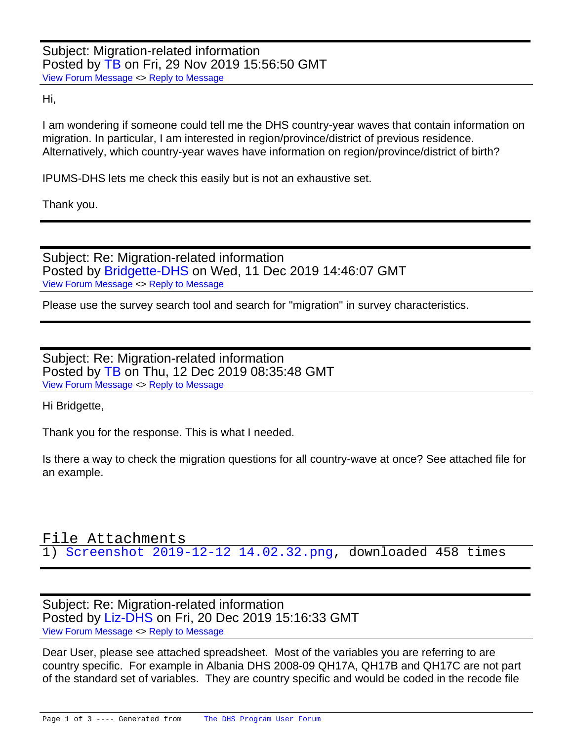Subject: Migration-related information Posted by [TB](https://userforum.dhsprogram.com/index.php?t=usrinfo&id=8603) on Fri, 29 Nov 2019 15:56:50 GMT [View Forum Message](https://userforum.dhsprogram.com/index.php?t=rview&th=8502&goto=18431#msg_18431) <> [Reply to Message](https://userforum.dhsprogram.com/index.php?t=post&reply_to=18431)

Hi,

I am wondering if someone could tell me the DHS country-year waves that contain information on migration. In particular, I am interested in region/province/district of previous residence. Alternatively, which country-year waves have information on region/province/district of birth?

IPUMS-DHS lets me check this easily but is not an exhaustive set.

Thank you.

Subject: Re: Migration-related information Posted by [Bridgette-DHS](https://userforum.dhsprogram.com/index.php?t=usrinfo&id=11) on Wed, 11 Dec 2019 14:46:07 GMT [View Forum Message](https://userforum.dhsprogram.com/index.php?t=rview&th=8502&goto=18508#msg_18508) <> [Reply to Message](https://userforum.dhsprogram.com/index.php?t=post&reply_to=18508)

Please use the survey search tool and search for "migration" in survey characteristics.

Subject: Re: Migration-related information Posted by [TB](https://userforum.dhsprogram.com/index.php?t=usrinfo&id=8603) on Thu, 12 Dec 2019 08:35:48 GMT [View Forum Message](https://userforum.dhsprogram.com/index.php?t=rview&th=8502&goto=18515#msg_18515) <> [Reply to Message](https://userforum.dhsprogram.com/index.php?t=post&reply_to=18515)

Hi Bridgette,

Thank you for the response. This is what I needed.

Is there a way to check the migration questions for all country-wave at once? See attached file for an example.

## File Attachments 1) [Screenshot 2019-12-12 14.02.32.png](https://userforum.dhsprogram.com/index.php?t=getfile&id=1503), downloaded 458 times

Subject: Re: Migration-related information Posted by [Liz-DHS](https://userforum.dhsprogram.com/index.php?t=usrinfo&id=9) on Fri, 20 Dec 2019 15:16:33 GMT [View Forum Message](https://userforum.dhsprogram.com/index.php?t=rview&th=8502&goto=18543#msg_18543) <> [Reply to Message](https://userforum.dhsprogram.com/index.php?t=post&reply_to=18543)

Dear User, please see attached spreadsheet. Most of the variables you are referring to are country specific. For example in Albania DHS 2008-09 QH17A, QH17B and QH17C are not part of the standard set of variables. They are country specific and would be coded in the recode file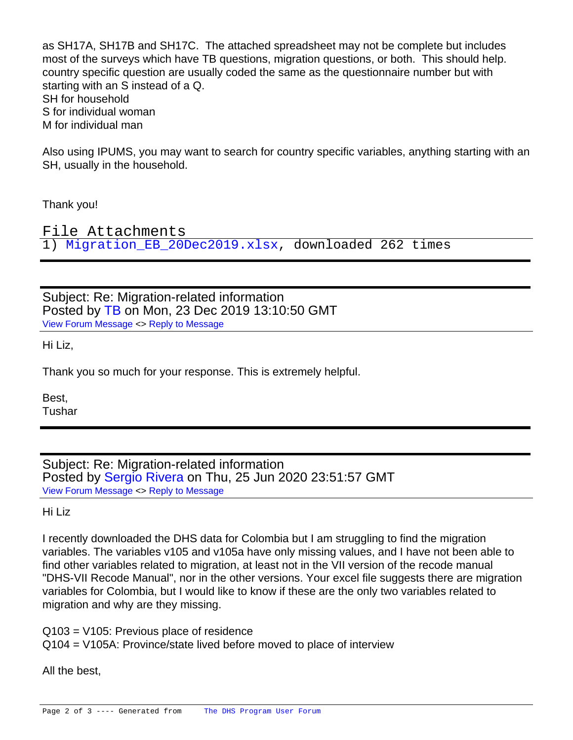as SH17A, SH17B and SH17C. The attached spreadsheet may not be complete but includes most of the surveys which have TB questions, migration questions, or both. This should help. country specific question are usually coded the same as the questionnaire number but with starting with an S instead of a Q. SH for household S for individual woman M for individual man

Also using IPUMS, you may want to search for country specific variables, anything starting with an SH, usually in the household.

Thank you!

File Attachments 1) [Migration\\_EB\\_20Dec2019.xlsx](https://userforum.dhsprogram.com/index.php?t=getfile&id=1506), downloaded 262 times

Subject: Re: Migration-related information Posted by [TB](https://userforum.dhsprogram.com/index.php?t=usrinfo&id=8603) on Mon, 23 Dec 2019 13:10:50 GMT [View Forum Message](https://userforum.dhsprogram.com/index.php?t=rview&th=8502&goto=18550#msg_18550) <> [Reply to Message](https://userforum.dhsprogram.com/index.php?t=post&reply_to=18550)

Hi Liz,

Thank you so much for your response. This is extremely helpful.

Best, Tushar

Subject: Re: Migration-related information Posted by [Sergio Rivera](https://userforum.dhsprogram.com/index.php?t=usrinfo&id=9378) on Thu, 25 Jun 2020 23:51:57 GMT [View Forum Message](https://userforum.dhsprogram.com/index.php?t=rview&th=8502&goto=19454#msg_19454) <> [Reply to Message](https://userforum.dhsprogram.com/index.php?t=post&reply_to=19454)

Hi Liz

I recently downloaded the DHS data for Colombia but I am struggling to find the migration variables. The variables v105 and v105a have only missing values, and I have not been able to find other variables related to migration, at least not in the VII version of the recode manual "DHS-VII Recode Manual", nor in the other versions. Your excel file suggests there are migration variables for Colombia, but I would like to know if these are the only two variables related to migration and why are they missing.

Q103 = V105: Previous place of residence Q104 = V105A: Province/state lived before moved to place of interview

All the best,